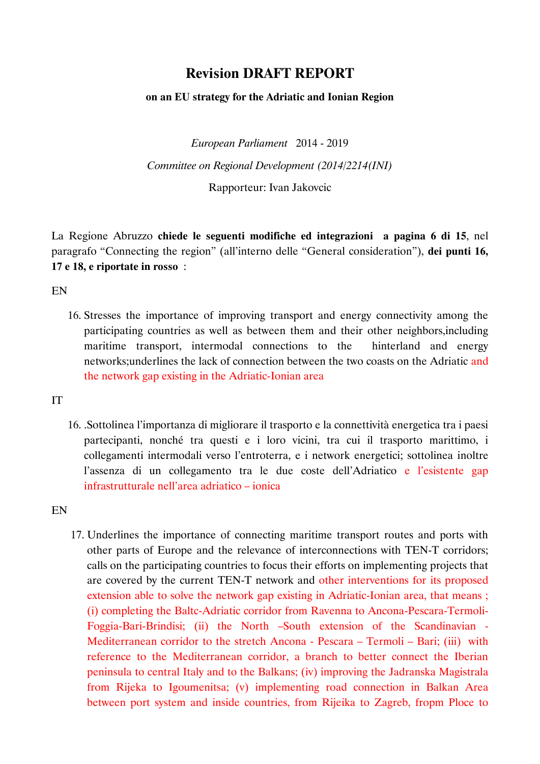## **Revision DRAFT REPORT**

## **on an EU strategy for the Adriatic and Ionian Region**

*European Parliament* 2014 - 2019 *Committee on Regional Development (2014/2214(INI)*

Rapporteur: Ivan Jakovcic

La Regione Abruzzo **chiede le seguenti modifiche ed integrazioni a pagina 6 di 15**, nel paragrafo "Connecting the region" (all'interno delle "General consideration"), **dei punti 16, 17 e 18, e riportate in rosso** :

EN

16. Stresses the importance of improving transport and energy connectivity among the participating countries as well as between them and their other neighbors,including maritime transport, intermodal connections to the hinterland and energy networks;underlines the lack of connection between the two coasts on the Adriatic and the network gap existing in the Adriatic-Ionian area

IT

16. .Sottolinea l'importanza di migliorare il trasporto e la connettività energetica tra i paesi partecipanti, nonché tra questi e i loro vicini, tra cui il trasporto marittimo, i collegamenti intermodali verso l'entroterra, e i network energetici; sottolinea inoltre l'assenza di un collegamento tra le due coste dell'Adriatico e l'esistente gap infrastrutturale nell'area adriatico – ionica

EN

17. Underlines the importance of connecting maritime transport routes and ports with other parts of Europe and the relevance of interconnections with TEN-T corridors; calls on the participating countries to focus their efforts on implementing projects that are covered by the current TEN-T network and other interventions for its proposed extension able to solve the network gap existing in Adriatic-Ionian area, that means ; (i) completing the Baltc-Adriatic corridor from Ravenna to Ancona-Pescara-Termoli-Foggia-Bari-Brindisi; (ii) the North –South extension of the Scandinavian - Mediterranean corridor to the stretch Ancona - Pescara – Termoli – Bari; (iii) with reference to the Mediterranean corridor, a branch to better connect the Iberian peninsula to central Italy and to the Balkans; (iv) improving the Jadranska Magistrala from Rijeka to Igoumenitsa; (v) implementing road connection in Balkan Area between port system and inside countries, from Rijeika to Zagreb, fropm Ploce to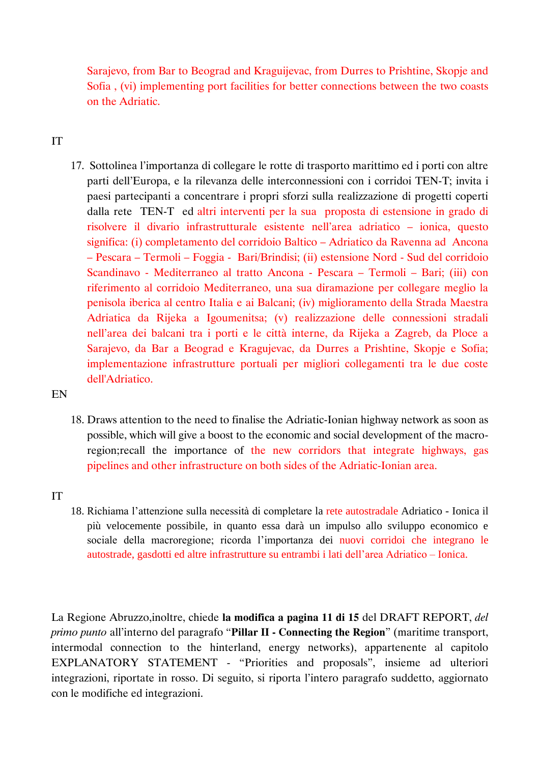Sarajevo, from Bar to Beograd and Kraguijevac, from Durres to Prishtine, Skopje and Sofia , (vi) implementing port facilities for better connections between the two coasts on the Adriatic.

## IT

17. Sottolinea l'importanza di collegare le rotte di trasporto marittimo ed i porti con altre parti dell'Europa, e la rilevanza delle interconnessioni con i corridoi TEN-T; invita i paesi partecipanti a concentrare i propri sforzi sulla realizzazione di progetti coperti dalla rete TEN-T ed altri interventi per la sua proposta di estensione in grado di risolvere il divario infrastrutturale esistente nell'area adriatico – ionica, questo significa: (i) completamento del corridoio Baltico – Adriatico da Ravenna ad Ancona – Pescara – Termoli – Foggia - Bari/Brindisi; (ii) estensione Nord - Sud del corridoio Scandinavo - Mediterraneo al tratto Ancona - Pescara – Termoli – Bari; (iii) con riferimento al corridoio Mediterraneo, una sua diramazione per collegare meglio la penisola iberica al centro Italia e ai Balcani; (iv) miglioramento della Strada Maestra Adriatica da Rijeka a Igoumenitsa; (v) realizzazione delle connessioni stradali nell'area dei balcani tra i porti e le città interne, da Rijeka a Zagreb, da Ploce a Sarajevo, da Bar a Beograd e Kragujevac, da Durres a Prishtine, Skopje e Sofia; implementazione infrastrutture portuali per migliori collegamenti tra le due coste dell'Adriatico.

EN

18. Draws attention to the need to finalise the Adriatic-Ionian highway network as soon as possible, which will give a boost to the economic and social development of the macroregion;recall the importance of the new corridors that integrate highways, gas pipelines and other infrastructure on both sides of the Adriatic-Ionian area.

## IT

18. Richiama l'attenzione sulla necessità di completare la rete autostradale Adriatico - Ionica il più velocemente possibile, in quanto essa darà un impulso allo sviluppo economico e sociale della macroregione; ricorda l'importanza dei nuovi corridoi che integrano le autostrade, gasdotti ed altre infrastrutture su entrambi i lati dell'area Adriatico – Ionica.

La Regione Abruzzo,inoltre, chiede **la modifica a pagina 11 di 15** del DRAFT REPORT, *del primo punto* all'interno del paragrafo "**Pillar II - Connecting the Region**" (maritime transport, intermodal connection to the hinterland, energy networks), appartenente al capitolo EXPLANATORY STATEMENT - "Priorities and proposals", insieme ad ulteriori integrazioni, riportate in rosso. Di seguito, si riporta l'intero paragrafo suddetto, aggiornato con le modifiche ed integrazioni.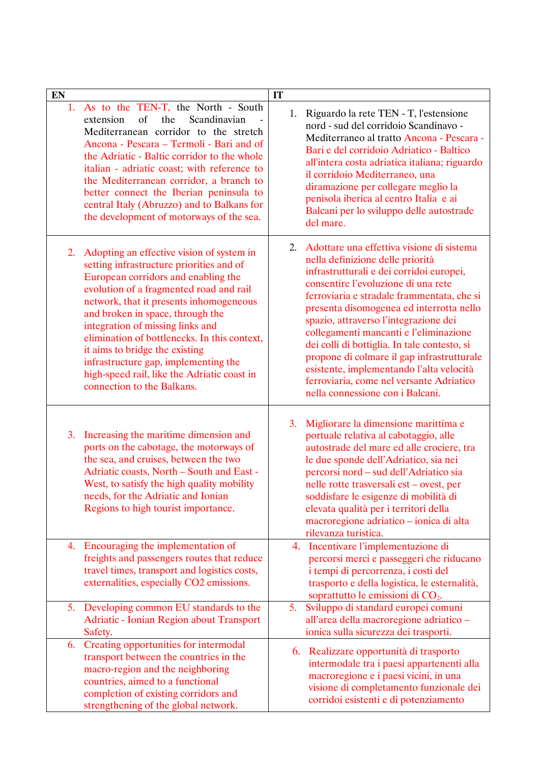| ${\bf E}{\bf N}$ |                                                                                                                                                                                                                                                                                                                                                                                                                                                                                                   | IT |                                                                                                                                                                                                                                                                                                                                                                                                                                                                                                                                                                         |
|------------------|---------------------------------------------------------------------------------------------------------------------------------------------------------------------------------------------------------------------------------------------------------------------------------------------------------------------------------------------------------------------------------------------------------------------------------------------------------------------------------------------------|----|-------------------------------------------------------------------------------------------------------------------------------------------------------------------------------------------------------------------------------------------------------------------------------------------------------------------------------------------------------------------------------------------------------------------------------------------------------------------------------------------------------------------------------------------------------------------------|
|                  | 1. As to the TEN-T, the North - South<br>extension<br>of<br>the<br>Scandinavian<br>Mediterranean corridor to the stretch<br>Ancona - Pescara – Termoli - Bari and of<br>the Adriatic - Baltic corridor to the whole<br>italian - adriatic coast; with reference to<br>the Mediterranean corridor, a branch to<br>better connect the Iberian peninsula to<br>central Italy (Abruzzo) and to Balkans for<br>the development of motorways of the sea.                                                | 1. | Riguardo la rete TEN - T, l'estensione<br>nord - sud del corridoio Scandinavo -<br>Mediterraneo al tratto Ancona - Pescara -<br>Bari e del corridoio Adriatico - Baltico<br>all'intera costa adriatica italiana; riguardo<br>il corridoio Mediterraneo, una<br>diramazione per collegare meglio la<br>penisola iberica al centro Italia e ai<br>Balcani per lo sviluppo delle autostrade<br>del mare.                                                                                                                                                                   |
| 2.               | Adopting an effective vision of system in<br>setting infrastructure priorities and of<br>European corridors and enabling the<br>evolution of a fragmented road and rail<br>network, that it presents inhomogeneous<br>and broken in space, through the<br>integration of missing links and<br>elimination of bottlenecks. In this context,<br>it aims to bridge the existing<br>infrastructure gap, implementing the<br>high-speed rail, like the Adriatic coast in<br>connection to the Balkans. | 2. | Adottare una effettiva visione di sistema<br>nella definizione delle priorità<br>infrastrutturali e dei corridoi europei,<br>consentire l'evoluzione di una rete<br>ferroviaria e stradale frammentata, che si<br>presenta disomogenea ed interrotta nello<br>spazio, attraverso l'integrazione dei<br>collegamenti mancanti e l'eliminazione<br>dei colli di bottiglia. In tale contesto, si<br>propone di colmare il gap infrastrutturale<br>esistente, implementando l'alta velocità<br>ferroviaria, come nel versante Adriatico<br>nella connessione con i Balcani. |
| 3.               | Increasing the maritime dimension and<br>ports on the cabotage, the motorways of<br>the sea, and cruises, between the two<br>Adriatic coasts, North - South and East -<br>West, to satisfy the high quality mobility<br>needs, for the Adriatic and Ionian<br>Regions to high tourist importance.                                                                                                                                                                                                 | 3. | Migliorare la dimensione marittima e<br>portuale relativa al cabotaggio, alle<br>autostrade del mare ed alle crociere, tra<br>le due sponde dell'Adriatico, sia nei<br>percorsi nord – sud dell'Adriatico sia<br>nelle rotte trasversali est - ovest, per<br>soddisfare le esigenze di mobilità di<br>elevata qualità per i territori della<br>macroregione adriatico - ionica di alta<br>rilevanza turistica.                                                                                                                                                          |
|                  | 4. Encouraging the implementation of<br>freights and passengers routes that reduce<br>travel times, transport and logistics costs,<br>externalities, especially CO2 emissions.                                                                                                                                                                                                                                                                                                                    | 4. | Incentivare l'implementazione di<br>percorsi merci e passeggeri che riducano<br>i tempi di percorrenza, i costi del<br>trasporto e della logistica, le esternalità,<br>soprattutto le emissioni di $CO2$ .                                                                                                                                                                                                                                                                                                                                                              |
| 5.               | Developing common EU standards to the<br><b>Adriatic - Ionian Region about Transport</b><br>Safety.                                                                                                                                                                                                                                                                                                                                                                                               | 5. | Sviluppo di standard europei comuni<br>all'area della macroregione adriatico -<br>ionica sulla sicurezza dei trasporti.                                                                                                                                                                                                                                                                                                                                                                                                                                                 |
| 6.               | Creating opportunities for intermodal<br>transport between the countries in the<br>macro-region and the neighboring<br>countries, aimed to a functional<br>completion of existing corridors and<br>strengthening of the global network.                                                                                                                                                                                                                                                           |    | 6. Realizzare opportunità di trasporto<br>intermodale tra i paesi appartenenti alla<br>macroregione e i paesi vicini, in una<br>visione di completamento funzionale dei<br>corridoi esistenti e di potenziamento                                                                                                                                                                                                                                                                                                                                                        |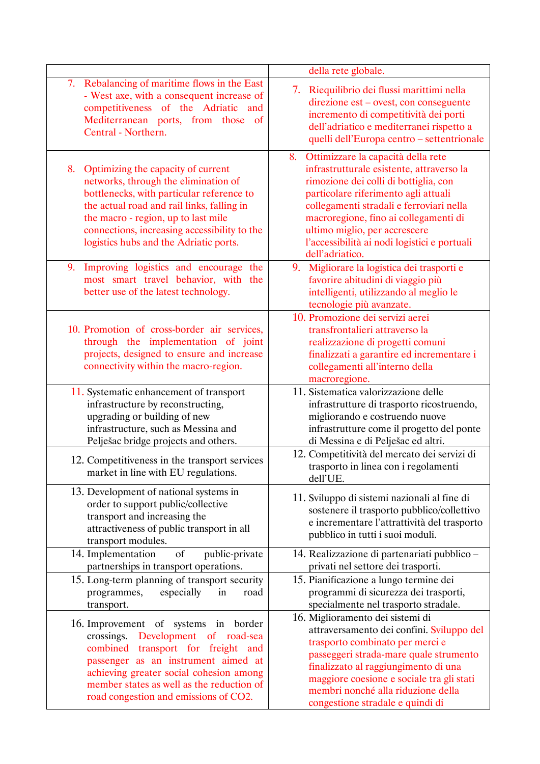|                                                                                                                                                                                                                                                                                                              | della rete globale.                                                                                                                                                                                                                                                                                                                                             |
|--------------------------------------------------------------------------------------------------------------------------------------------------------------------------------------------------------------------------------------------------------------------------------------------------------------|-----------------------------------------------------------------------------------------------------------------------------------------------------------------------------------------------------------------------------------------------------------------------------------------------------------------------------------------------------------------|
| 7. Rebalancing of maritime flows in the East<br>- West axe, with a consequent increase of<br>competitiveness of the Adriatic and<br>Mediterranean ports, from those of<br>Central - Northern.                                                                                                                | 7. Riequilibrio dei flussi marittimi nella<br>direzione est – ovest, con conseguente<br>incremento di competitività dei porti<br>dell'adriatico e mediterranei rispetto a<br>quelli dell'Europa centro - settentrionale                                                                                                                                         |
| Optimizing the capacity of current<br>8.<br>networks, through the elimination of<br>bottlenecks, with particular reference to<br>the actual road and rail links, falling in<br>the macro - region, up to last mile<br>connections, increasing accessibility to the<br>logistics hubs and the Adriatic ports. | Ottimizzare la capacità della rete<br>8.<br>infrastrutturale esistente, attraverso la<br>rimozione dei colli di bottiglia, con<br>particolare riferimento agli attuali<br>collegamenti stradali e ferroviari nella<br>macroregione, fino ai collegamenti di<br>ultimo miglio, per accrescere<br>l'accessibilità ai nodi logistici e portuali<br>dell'adriatico. |
| Improving logistics and encourage the<br>9.<br>most smart travel behavior, with the<br>better use of the latest technology.                                                                                                                                                                                  | 9. Migliorare la logistica dei trasporti e<br>favorire abitudini di viaggio più<br>intelligenti, utilizzando al meglio le<br>tecnologie più avanzate.                                                                                                                                                                                                           |
| 10. Promotion of cross-border air services,<br>through the implementation of joint<br>projects, designed to ensure and increase<br>connectivity within the macro-region.                                                                                                                                     | 10. Promozione dei servizi aerei<br>transfrontalieri attraverso la<br>realizzazione di progetti comuni<br>finalizzati a garantire ed incrementare i<br>collegamenti all'interno della<br>macroregione.                                                                                                                                                          |
| 11. Systematic enhancement of transport<br>infrastructure by reconstructing,<br>upgrading or building of new<br>infrastructure, such as Messina and<br>Pelješac bridge projects and others.                                                                                                                  | 11. Sistematica valorizzazione delle<br>infrastrutture di trasporto ricostruendo,<br>migliorando e costruendo nuove<br>infrastrutture come il progetto del ponte<br>di Messina e di Pelješac ed altri.                                                                                                                                                          |
| 12. Competitiveness in the transport services<br>market in line with EU regulations.                                                                                                                                                                                                                         | 12. Competitività del mercato dei servizi di<br>trasporto in linea con i regolamenti<br>dell'UE.                                                                                                                                                                                                                                                                |
| 13. Development of national systems in<br>order to support public/collective<br>transport and increasing the<br>attractiveness of public transport in all<br>transport modules.                                                                                                                              | 11. Sviluppo di sistemi nazionali al fine di<br>sostenere il trasporto pubblico/collettivo<br>e incrementare l'attrattività del trasporto<br>pubblico in tutti i suoi moduli.                                                                                                                                                                                   |
| of<br>14. Implementation<br>public-private                                                                                                                                                                                                                                                                   | 14. Realizzazione di partenariati pubblico -                                                                                                                                                                                                                                                                                                                    |
| partnerships in transport operations.<br>15. Long-term planning of transport security<br>especially<br>programmes,<br>in<br>road<br>transport.                                                                                                                                                               | privati nel settore dei trasporti.<br>15. Pianificazione a lungo termine dei<br>programmi di sicurezza dei trasporti,<br>specialmente nel trasporto stradale.                                                                                                                                                                                                   |
| 16. Improvement of systems in border<br>Development of road-sea<br>crossings.<br>combined transport for freight and<br>passenger as an instrument aimed at<br>achieving greater social cohesion among<br>member states as well as the reduction of<br>road congestion and emissions of CO2.                  | 16. Miglioramento dei sistemi di<br>attraversamento dei confini. Sviluppo del<br>trasporto combinato per merci e<br>passeggeri strada-mare quale strumento<br>finalizzato al raggiungimento di una<br>maggiore coesione e sociale tra gli stati<br>membri nonché alla riduzione della<br>congestione stradale e quindi di                                       |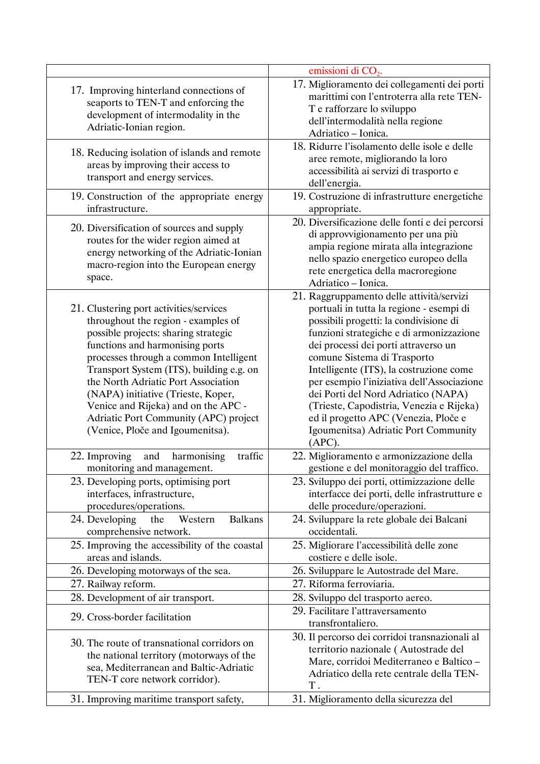|                                                                                                                                                                                                                                                                                                                                                                                                                                                  | emissioni di $CO2$ .                                                                                                                                                                                                                                                                                                                                                                                                                                                                                                     |
|--------------------------------------------------------------------------------------------------------------------------------------------------------------------------------------------------------------------------------------------------------------------------------------------------------------------------------------------------------------------------------------------------------------------------------------------------|--------------------------------------------------------------------------------------------------------------------------------------------------------------------------------------------------------------------------------------------------------------------------------------------------------------------------------------------------------------------------------------------------------------------------------------------------------------------------------------------------------------------------|
| 17. Improving hinterland connections of<br>seaports to TEN-T and enforcing the<br>development of intermodality in the<br>Adriatic-Ionian region.                                                                                                                                                                                                                                                                                                 | 17. Miglioramento dei collegamenti dei porti<br>marittimi con l'entroterra alla rete TEN-<br>T e rafforzare lo sviluppo<br>dell'intermodalità nella regione<br>Adriatico - Ionica.                                                                                                                                                                                                                                                                                                                                       |
| 18. Reducing isolation of islands and remote<br>areas by improving their access to<br>transport and energy services.                                                                                                                                                                                                                                                                                                                             | 18. Ridurre l'isolamento delle isole e delle<br>aree remote, migliorando la loro<br>accessibilità ai servizi di trasporto e<br>dell'energia.                                                                                                                                                                                                                                                                                                                                                                             |
| 19. Construction of the appropriate energy<br>infrastructure.                                                                                                                                                                                                                                                                                                                                                                                    | 19. Costruzione di infrastrutture energetiche<br>appropriate.                                                                                                                                                                                                                                                                                                                                                                                                                                                            |
| 20. Diversification of sources and supply<br>routes for the wider region aimed at<br>energy networking of the Adriatic-Ionian<br>macro-region into the European energy<br>space.                                                                                                                                                                                                                                                                 | 20. Diversificazione delle fonti e dei percorsi<br>di approvvigionamento per una più<br>ampia regione mirata alla integrazione<br>nello spazio energetico europeo della<br>rete energetica della macroregione<br>Adriatico - Ionica.                                                                                                                                                                                                                                                                                     |
| 21. Clustering port activities/services<br>throughout the region - examples of<br>possible projects: sharing strategic<br>functions and harmonising ports<br>processes through a common Intelligent<br>Transport System (ITS), building e.g. on<br>the North Adriatic Port Association<br>(NAPA) initiative (Trieste, Koper,<br>Venice and Rijeka) and on the APC -<br>Adriatic Port Community (APC) project<br>(Venice, Ploče and Igoumenitsa). | 21. Raggruppamento delle attività/servizi<br>portuali in tutta la regione - esempi di<br>possibili progetti: la condivisione di<br>funzioni strategiche e di armonizzazione<br>dei processi dei porti attraverso un<br>comune Sistema di Trasporto<br>Intelligente (ITS), la costruzione come<br>per esempio l'iniziativa dell'Associazione<br>dei Porti del Nord Adriatico (NAPA)<br>(Trieste, Capodistria, Venezia e Rijeka)<br>ed il progetto APC (Venezia, Ploče e<br>Igoumenitsa) Adriatic Port Community<br>(APC). |
| 22. Improving<br>harmonising<br>traffic<br>and<br>monitoring and management.                                                                                                                                                                                                                                                                                                                                                                     | 22. Miglioramento e armonizzazione della<br>gestione e del monitoraggio del traffico.                                                                                                                                                                                                                                                                                                                                                                                                                                    |
| 23. Developing ports, optimising port<br>interfaces, infrastructure,<br>procedures/operations.                                                                                                                                                                                                                                                                                                                                                   | 23. Sviluppo dei porti, ottimizzazione delle<br>interfacce dei porti, delle infrastrutture e<br>delle procedure/operazioni.                                                                                                                                                                                                                                                                                                                                                                                              |
| 24. Developing the<br><b>Balkans</b><br>Western<br>comprehensive network.                                                                                                                                                                                                                                                                                                                                                                        | 24. Sviluppare la rete globale dei Balcani<br>occidentali.                                                                                                                                                                                                                                                                                                                                                                                                                                                               |
| 25. Improving the accessibility of the coastal<br>areas and islands.                                                                                                                                                                                                                                                                                                                                                                             | 25. Migliorare l'accessibilità delle zone<br>costiere e delle isole.                                                                                                                                                                                                                                                                                                                                                                                                                                                     |
| 26. Developing motorways of the sea.                                                                                                                                                                                                                                                                                                                                                                                                             | 26. Sviluppare le Autostrade del Mare.                                                                                                                                                                                                                                                                                                                                                                                                                                                                                   |
| 27. Railway reform.                                                                                                                                                                                                                                                                                                                                                                                                                              | 27. Riforma ferroviaria.                                                                                                                                                                                                                                                                                                                                                                                                                                                                                                 |
| 28. Development of air transport.                                                                                                                                                                                                                                                                                                                                                                                                                | 28. Sviluppo del trasporto aereo.                                                                                                                                                                                                                                                                                                                                                                                                                                                                                        |
| 29. Cross-border facilitation                                                                                                                                                                                                                                                                                                                                                                                                                    | 29. Facilitare l'attraversamento<br>transfrontaliero.                                                                                                                                                                                                                                                                                                                                                                                                                                                                    |
| 30. The route of transnational corridors on<br>the national territory (motorways of the<br>sea, Mediterranean and Baltic-Adriatic<br>TEN-T core network corridor).                                                                                                                                                                                                                                                                               | 30. Il percorso dei corridoi transnazionali al<br>territorio nazionale (Autostrade del<br>Mare, corridoi Mediterraneo e Baltico -<br>Adriatico della rete centrale della TEN-<br>Τ.                                                                                                                                                                                                                                                                                                                                      |
| 31. Improving maritime transport safety,                                                                                                                                                                                                                                                                                                                                                                                                         | 31. Miglioramento della sicurezza del                                                                                                                                                                                                                                                                                                                                                                                                                                                                                    |